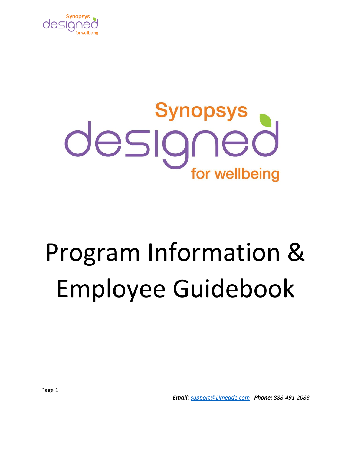

# designed for wellbeing

# Program Information & Employee Guidebook

*Email[: support@Limeade.com](mailto:support@Limeade.com) Phone: 888-491-2088*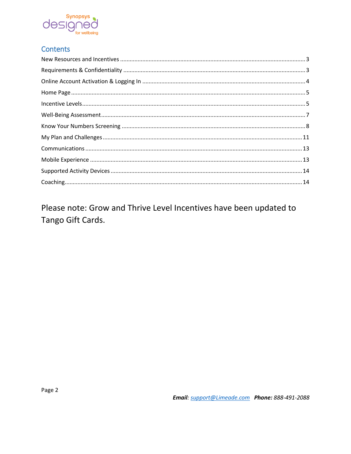

### **Contents**

Please note: Grow and Thrive Level Incentives have been updated to Tango Gift Cards.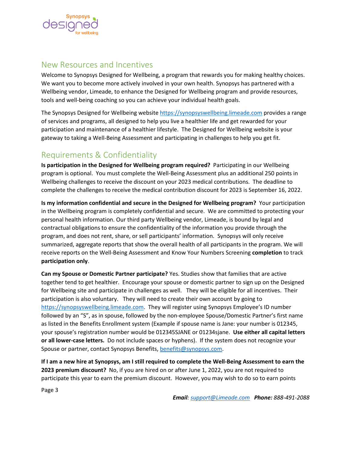

# <span id="page-2-0"></span>New Resources and Incentives

Welcome to Synopsys Designed for Wellbeing, a program that rewards you for making healthy choices. We want you to become more actively involved in your own health. Synopsys has partnered with a Wellbeing vendor, Limeade, to enhance the Designed for Wellbeing program and provide resources, tools and well-being coaching so you can achieve your individual health goals.

The Synopsys Designed for Wellbeing website [https://synopsyswellbeing.limeade.com](https://synopsyswellbeing.limeade.com/) provides a range of services and programs, all designed to help you live a healthier life and get rewarded for your participation and maintenance of a healthier lifestyle. The Designed for Wellbeing website is your gateway to taking a Well-Being Assessment and participating in challenges to help you get fit.

# <span id="page-2-1"></span>Requirements & Confidentiality

**Is participation in the Designed for Wellbeing program required?** Participating in our Wellbeing program is optional. You must complete the Well-Being Assessment plus an additional 250 points in Wellbeing challenges to receive the discount on your 2023 medical contributions. The deadline to complete the challenges to receive the medical contribution discount for 2023 is September 16, 2022.

**Is my information confidential and secure in the Designed for Wellbeing program?** Your participation in the Wellbeing program is completely confidential and secure. We are committed to protecting your personal health information. Our third party Wellbeing vendor, Limeade, is bound by legal and contractual obligations to ensure the confidentiality of the information you provide through the program, and does not rent, share, or sell participants' information. Synopsys will only receive summarized, aggregate reports that show the overall health of all participants in the program. We will receive reports on the Well-Being Assessment and Know Your Numbers Screening **completion** to track **participation only**.

**Can my Spouse or Domestic Partner participate?** Yes. Studies show that families that are active together tend to get healthier. Encourage your spouse or domestic partner to sign up on the Designed for Wellbeing site and participate in challenges as well. They will be eligible for all incentives. Their participation is also voluntary. They will need to create their own account by going to [https://synopsyswellbeing.limeade.com.](https://synopsyswellbeing.limeade.com/) They will register using Synopsys Employee's ID number followed by an "S", as in spouse, followed by the non-employee Spouse/Domestic Partner's first name as listed in the Benefits Enrollment system (Example if spouse name is Jane: your number is 012345, your spouse's registration number would be 012345SJANE or 01234sjane. **Use either all capital letters or all lower-case letters.** Do not include spaces or hyphens). If the system does not recognize your Spouse or partner, contact Synopsys Benefits, [benefits@synopsys.com.](mailto:benefits@synopsys.com)

**If I am a new hire at Synopsys, am I still required to complete the Well-Being Assessment to earn the 2023 premium discount?** No, if you are hired on or after June 1, 2022, you are not required to participate this year to earn the premium discount. However, you may wish to do so to earn points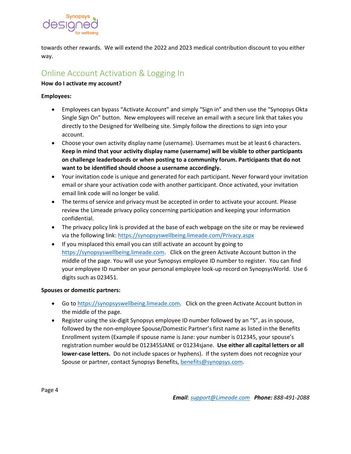

<span id="page-3-0"></span>towards other rewards. We will extend the 2022 and 2023 medical contribution discount to you either way.

# Online Account Activation & Logging In

#### **How do I activate my account?**

#### **Employees:**

- Employees can bypass "Activate Account" and simply "Sign in" and then use the "Synopsys Okta Single Sign On" button. New employees will receive an email with a secure link that takes you directly to the Designed for Wellbeing site. Simply follow the directions to sign into your account.
- Choose your own activity display name (username). Usernames must be at least 6 characters. **Keep in mind that your activity display name (username) will be visible to other participants on challenge leaderboards or when posting to a community forum. Participants that do not want to be identified should choose a username accordingly.**
- Your invitation code is unique and generated for each participant. Never forward your invitation email or share your activation code with another participant. Once activated, your invitation email link code will no longer be valid.
- The terms of service and privacy must be accepted in order to activate your account. Please review the Limeade privacy policy concerning participation and keeping your information confidential.
- The privacy policy link is provided at the base of each webpage on the site or may be reviewed via the following link:<https://synopsyswellbeing.limeade.com/Privacy.aspx>
- If you misplaced this email you can still activate an account by going to [https://synopsyswellbeing.limeade.com.](https://synopsyswellbeing.limeade.com/) Click on the green Activate Account button in the middle of the page. You will use your Synopsys employee ID number to register. You can find your employee ID number on your personal employee look-up record on SynopsysWorld. Use 6 digits such as 023451.

#### **Spouses or domestic partners:**

- Go to [https://synopsyswellbeing.limeade.com.](https://synopsyswellbeing.limeade.com/) Click on the green Activate Account button in the middle of the page.
- Register using the six-digit Synopsys employee ID number followed by an "S", as in spouse, followed by the non-employee Spouse/Domestic Partner's first name as listed in the Benefits Enrollment system (Example if spouse name is Jane: your number is 012345, your spouse's registration number would be 012345SJANE or 01234sjane. **Use either all capital letters or all lower-case letters.** Do not include spaces or hyphens). If the system does not recognize your Spouse or partner, contact Synopsys Benefits, [benefits@synopsys.com.](mailto:benefits@synopsys.com)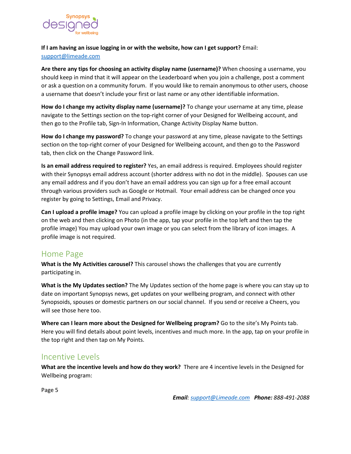

**If I am having an issue logging in or with the website, how can I get support?** Email:

#### [support@limeade.com](mailto:support@limeade.com)

**Are there any tips for choosing an activity display name (username)?** When choosing a username, you should keep in mind that it will appear on the Leaderboard when you join a challenge, post a comment or ask a question on a community forum. If you would like to remain anonymous to other users, choose a username that doesn't include your first or last name or any other identifiable information.

**How do I change my activity display name (username)?** To change your username at any time, please navigate to the Settings section on the top-right corner of your Designed for Wellbeing account, and then go to the Profile tab, Sign-In Information, Change Activity Display Name button.

**How do I change my password?** To change your password at any time, please navigate to the Settings section on the top-right corner of your Designed for Wellbeing account, and then go to the Password tab, then click on the Change Password link.

**Is an email address required to register?** Yes, an email address is required. Employees should register with their Synopsys email address account (shorter address with no dot in the middle). Spouses can use any email address and if you don't have an email address you can sign up for a free email account through various providers such as Google or Hotmail. Your email address can be changed once you register by going to Settings, Email and Privacy.

**Can I upload a profile image?** You can upload a profile image by clicking on your profile in the top right on the web and then clicking on Photo (in the app, tap your profile in the top left and then tap the profile image) You may upload your own image or you can select from the library of icon images. A profile image is not required.

# <span id="page-4-0"></span>Home Page

**What is the My Activities carousel?** This carousel shows the challenges that you are currently participating in.

**What is the My Updates section?** The My Updates section of the home page is where you can stay up to date on important Synopsys news, get updates on your wellbeing program, and connect with other Synopsoids, spouses or domestic partners on our social channel. If you send or receive a Cheers, you will see those here too.

**Where can I learn more about the Designed for Wellbeing program?** Go to the site's My Points tab. Here you will find details about point levels, incentives and much more. In the app, tap on your profile in the top right and then tap on My Points.

# <span id="page-4-1"></span>Incentive Levels

**What are the incentive levels and how do they work?** There are 4 incentive levels in the Designed for Wellbeing program: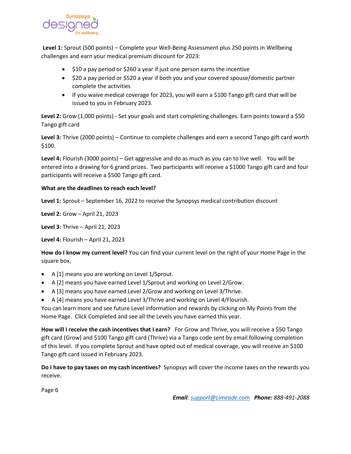

**Level 1:** Sprout (500 points) – Complete your Well-Being Assessment plus 250 points in Wellbeing challenges and earn your medical premium discount for 2023:

- \$10 a pay period or \$260 a year if just one person earns the incentive
- \$20 a pay period or \$520 a year if both you and your covered spouse/domestic partner complete the activities
- If you waive medical coverage for 2023, you will earn a \$100 Tango gift card that will be issued to you in February 2023.

**Level 2:** Grow (1,000 points) - Set your goals and start completing challenges. Earn points toward a \$50 Tango gift card

**Level 3:** Thrive (2000 points) – Continue to complete challenges and earn a second Tango gift card worth \$100.

**Level 4:** Flourish (3000 points) – Get aggressive and do as much as you can to live well. You will be entered into a drawing for 6 grand prizes. Two participants will receive a \$1000 Tango gift card and four participants will receive a \$500 Tango gift card.

#### **What are the deadlines to reach each level?**

**Level 1:** Sprout – September 16, 2022 to receive the Synopsys medical contribution discount

**Level 2:** Grow – April 21, 2023

**Level 3:** Thrive – April 21, 2023

**Level 4:** Flourish – April 21, 2023

**How do I know my current level?** You can find your current level on the right of your Home Page in the square box.

- A [1] means you are working on Level 1/Sprout.
- A [2] means you have earned Level 1/Sprout and working on Level 2/Grow.
- A [3] means you have earned Level 2/Grow and working on Level 3/Thrive.
- A [4] means you have earned Level 3/Thrive and working on Level 4/Flourish.

You can learn more and see future Level information and rewards by clicking on My Points from the Home Page. Click Completed and see all the Levels you have earned this year.

**How will I receive the cash incentives that I earn?** For Grow and Thrive, you will receive a \$50 Tango gift card (Grow) and \$100 Tango gift card (Thrive) via a Tango code sent by email following completion of this level. If you complete Sprout and have opted out of medical coverage, you will receive an \$100 Tango gift card issued in February 2023.

**Do I have to pay taxes on my cash incentives?** Synopsys will cover the income taxes on the rewards you receive.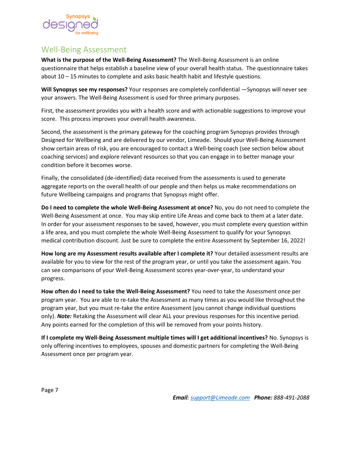

# <span id="page-6-0"></span>Well-Being Assessment

**What is the purpose of the Well-Being Assessment?** The Well-Being Assessment is an online questionnaire that helps establish a baseline view of your overall health status. The questionnaire takes about 10 – 15 minutes to complete and asks basic health habit and lifestyle questions.

**Will Synopsys see my responses?** Your responses are completely confidential —Synopsys will never see your answers. The Well-Being Assessment is used for three primary purposes.

First, the assessment provides you with a health score and with actionable suggestions to improve your score. This process improves your overall health awareness.

Second, the assessment is the primary gateway for the coaching program Synopsys provides through Designed for Wellbeing and are delivered by our vendor, Limeade. Should your Well-Being Assessment show certain areas of risk, you are encouraged to contact a Well-being coach (see section below about coaching services) and explore relevant resources so that you can engage in to better manage your condition before it becomes worse.

Finally, the consolidated (de-identified) data received from the assessments is used to generate aggregate reports on the overall health of our people and then helps us make recommendations on future Wellbeing campaigns and programs that Synopsys might offer.

**Do I need to complete the whole Well-Being Assessment at once?** No, you do not need to complete the Well-Being Assessment at once. You may skip entire Life Areas and come back to them at a later date. In order for your assessment responses to be saved, however, you must complete every question within a life area, and you must complete the whole Well-Being Assessment to qualify for your Synopsys medical contribution discount. Just be sure to complete the entire Assessment by September 16, 2022!

**How long are my Assessment results available after I complete it?** Your detailed assessment results are available for you to view for the rest of the program year, or until you take the assessment again. You can see comparisons of your Well-Being Assessment scores year-over-year, to understand your progress.

**How often do I need to take the Well-Being Assessment?** You need to take the Assessment once per program year. You are able to re-take the Assessment as many times as you would like throughout the program year, but you must re-take the entire Assessment (you cannot change individual questions only). *Note:* Retaking the Assessment will clear ALL your previous responses for this incentive period. Any points earned for the completion of this will be removed from your points history.

**If I complete my Well-Being Assessment multiple times will I get additional incentives?** No. Synopsys is only offering incentives to employees, spouses and domestic partners for completing the Well-Being Assessment once per program year.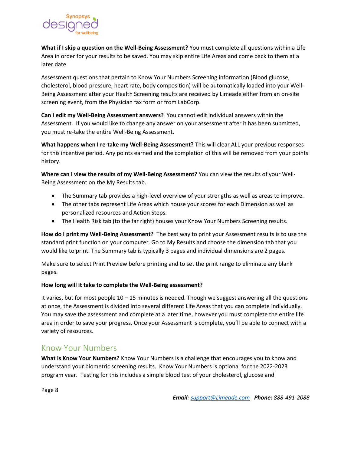

**What if I skip a question on the Well-Being Assessment?** You must complete all questions within a Life Area in order for your results to be saved. You may skip entire Life Areas and come back to them at a later date.

Assessment questions that pertain to Know Your Numbers Screening information (Blood glucose, cholesterol, blood pressure, heart rate, body composition) will be automatically loaded into your Well-Being Assessment after your Health Screening results are received by Limeade either from an on-site screening event, from the Physician fax form or from LabCorp.

**Can I edit my Well-Being Assessment answers?** You cannot edit individual answers within the Assessment. If you would like to change any answer on your assessment after it has been submitted, you must re-take the entire Well-Being Assessment.

**What happens when I re-take my Well-Being Assessment?** This will clear ALL your previous responses for this incentive period. Any points earned and the completion of this will be removed from your points history.

**Where can I view the results of my Well-Being Assessment?** You can view the results of your Well-Being Assessment on the My Results tab.

- The Summary tab provides a high-level overview of your strengths as well as areas to improve.
- The other tabs represent Life Areas which house your scores for each Dimension as well as personalized resources and Action Steps.
- The Health Risk tab (to the far right) houses your Know Your Numbers Screening results.

**How do I print my Well-Being Assessment?** The best way to print your Assessment results is to use the standard print function on your computer. Go to My Results and choose the dimension tab that you would like to print. The Summary tab is typically 3 pages and individual dimensions are 2 pages.

Make sure to select Print Preview before printing and to set the print range to eliminate any blank pages.

#### **How long will it take to complete the Well-Being assessment?**

It varies, but for most people 10 – 15 minutes is needed. Though we suggest answering all the questions at once, the Assessment is divided into several different Life Areas that you can complete individually. You may save the assessment and complete at a later time, however you must complete the entire life area in order to save your progress. Once your Assessment is complete, you'll be able to connect with a variety of resources.

# <span id="page-7-0"></span>Know Your Numbers

**What is Know Your Numbers?** Know Your Numbers is a challenge that encourages you to know and understand your biometric screening results. Know Your Numbers is optional for the 2022-2023 program year. Testing for this includes a simple blood test of your cholesterol, glucose and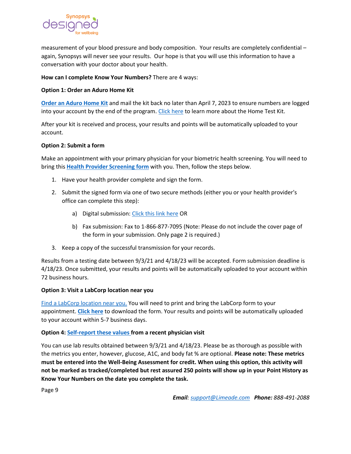

measurement of your blood pressure and body composition. Your results are completely confidential – again, Synopsys will never see your results. Our hope is that you will use this information to have a conversation with your doctor about your health.

#### **How can I complete Know Your Numbers?** There are 4 ways:

#### **Option 1: Order an Aduro Home Kit**

**[Order an Aduro Home Kit](https://wellmetricssurveys.secure.force.com/Order/HomeTestKit?e=synopsys)** and mail the kit back no later than April 7, 2023 to ensure numbers are logged into your account by the end of the program. [Click here](https://documents.limeade.com/Synopsys/2020_HomeTestKit_how-to.pdf) to learn more about the Home Test Kit.

After your kit is received and process, your results and points will be automatically uploaded to your account.

#### **Option 2: Submit a form**

Make an appointment with your primary physician for your biometric health screening. You will need to bring this **[Health Provider Screening form](https://synopsyswellbeing.limeade.com/api/Redirect?url=https://wellmetricssurveys.secure.force.com/Biometrics/DownloadableForm?q10=NoTobaccoForm%26q9=%5Bparticipantcode%5D%26q8=%5Be%5D%26q3=)** with you. Then, follow the steps below.

- 1. Have your health provider complete and sign the form.
- 2. Submit the signed form via one of two secure methods (either you or your health provider's office can complete this step):
	- a) Digital submission: [Click this link here](https://wellmetricssurveys.secure.force.com/program) OR
	- b) Fax submission: Fax to 1-866-877-7095 (Note: Please do not include the cover page of the form in your submission. Only page 2 is required.)
- 3. Keep a copy of the successful transmission for your records.

Results from a testing date between 9/3/21 and 4/18/23 will be accepted. Form submission deadline is 4/18/23. Once submitted, your results and points will be automatically uploaded to your account within 72 business hours.

#### **Option 3: Visit a LabCorp location near you**

[Find a LabCorp location near you.](https://www.labcorp.com/labs-and-appointments) You will need to print and bring the LabCorp form to your appointment. **[Click](https://mywellnessnumbers.com/Synopsys/Synopsys_LabCorp-Voucher.pdf) [here](https://mywellnessnumbers.com/Synopsys/Synopsys_LabCorp-Voucher.pdf)** to download the form. Your results and points will be automatically uploaded to your account within 5-7 business days.

#### **Option 4: [Self-report these values](https://synopsyswellbeing.limeade.com/MyResults) from a recent physician visit**

You can use lab results obtained between 9/3/21 and 4/18/23. Please be as thorough as possible with the metrics you enter, however, glucose, A1C, and body fat % are optional. **Please note: These metrics must be entered into the Well-Being Assessment for credit. When using this option, this activity will not be marked as tracked/completed but rest assured 250 points will show up in your Point History as Know Your Numbers on the date you complete the task.**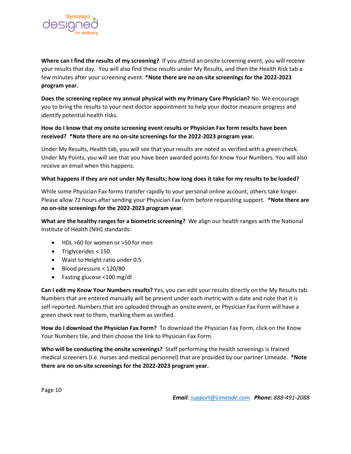

**Where can I find the results of my screening?** If you attend an onsite screening event, you will receive your results that day. You will also find these results under My Results, and then the Health Risk tab a few minutes after your screening event. **\*Note there are no on-site screenings for the 2022-2023 program year.**

**Does the screening replace my annual physical with my Primary Care Physician?** No. We encourage you to bring the results to your next doctor appointment to help your doctor measure progress and identify potential health risks.

#### **How do I know that my onsite screening event results or Physician Fax form results have been received? \*Note there are no on-site screenings for the 2022-2023 program year.**

Under My Results, Health tab, you will see that your results are noted as verified with a green check. Under My Points, you will see that you have been awarded points for Know Your Numbers. You will also receive an email when this happens.

#### **What happens if they are not under My Results; how long does it take for my results to be loaded?**

While some Physician Fax forms transfer rapidly to your personal online account, others take longer. Please allow 72 hours after sending your Physician Fax form before requesting support. **\*Note there are no on-site screenings for the 2022-2023 program year.**

**What are the healthy ranges for a biometric screening?** We align our health ranges with the National Institute of Health (NIH) standards:

- HDL >60 for women or >50 for men
- Triglycerides < 150
- Waist to Height ratio under 0.5
- Blood pressure < 120/80
- Fasting glucose <100 mg/dl

**Can I edit my Know Your Numbers results?** Yes, you can edit your results directly on the My Results tab. Numbers that are entered manually will be present under each metric with a date and note that it is self-reported. Numbers that are uploaded through an onsite event, or Physician Fax Form will have a green check next to them, marking them as verified.

**How do I download the Physician Fax Form?** To download the Physician Fax Form, click on the Know Your Numbers tile, and then choose the link to Physician Fax Form.

**Who will be conducting the onsite screenings?** Staff performing the health screenings is trained medical screeners (i.e. nurses and medical personnel) that are provided by our partner Limeade. **\*Note there are no on-site screenings for the 2022-2023 program year.**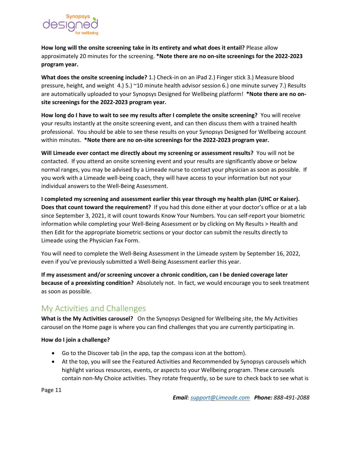

**How long will the onsite screening take in its entirety and what does it entail?** Please allow approximately 20 minutes for the screening. **\*Note there are no on-site screenings for the 2022-2023 program year.**

**What does the onsite screening include?** 1.) Check-in on an iPad 2.) Finger stick 3.) Measure blood pressure, height, and weight 4.) 5.) ~10 minute health advisor session 6.) one minute survey 7.) Results are automatically uploaded to your Synopsys Designed for Wellbeing platform! **\*Note there are no onsite screenings for the 2022-2023 program year.**

**How long do I have to wait to see my results after I complete the onsite screening?** You will receive your results instantly at the onsite screening event, and can then discuss them with a trained health professional. You should be able to see these results on your Synopsys Designed for Wellbeing account within minutes. **\*Note there are no on-site screenings for the 2022-2023 program year.**

**Will Limeade ever contact me directly about my screening or assessment results?** You will not be contacted. If you attend an onsite screening event and your results are significantly above or below normal ranges, you may be advised by a Limeade nurse to contact your physician as soon as possible. If you work with a Limeade well-being coach, they will have access to your information but not your individual answers to the Well-Being Assessment.

**I completed my screening and assessment earlier this year through my health plan (UHC or Kaiser). Does that count toward the requirement?** If you had this done either at your doctor's office or at a lab since September 3, 2021, it will count towards Know Your Numbers. You can self-report your biometric information while completing your Well-Being Assessment or by clicking on My Results > Health and then Edit for the appropriate biometric sections or your doctor can submit the results directly to Limeade using the Physician Fax Form.

You will need to complete the Well-Being Assessment in the Limeade system by September 16, 2022, even if you've previously submitted a Well-Being Assessment earlier this year.

**If my assessment and/or screening uncover a chronic condition, can I be denied coverage later because of a preexisting condition?** Absolutely not. In fact, we would encourage you to seek treatment as soon as possible.

# <span id="page-10-0"></span>My Activities and Challenges

**What is the My Activities carousel?** On the Synopsys Designed for Wellbeing site, the My Activities carousel on the Home page is where you can find challenges that you are currently participating in.

**How do I join a challenge?**

- Go to the Discover tab (in the app, tap the compass icon at the bottom).
- At the top, you will see the Featured Activities and Recommended by Synopsys carousels which highlight various resources, events, or aspects to your Wellbeing program. These carousels contain non-My Choice activities. They rotate frequently, so be sure to check back to see what is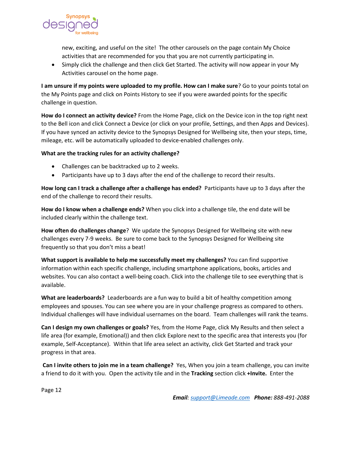

new, exciting, and useful on the site! The other carousels on the page contain My Choice activities that are recommended for you that you are not currently participating in.

• Simply click the challenge and then click Get Started. The activity will now appear in your My Activities carousel on the home page.

**I am unsure if my points were uploaded to my profile. How can I make sure**? Go to your points total on the My Points page and click on Points History to see if you were awarded points for the specific challenge in question.

**How do I connect an activity device?** From the Home Page, click on the Device icon in the top right next to the Bell icon and click Connect a Device (or click on your profile, Settings, and then Apps and Devices). If you have synced an activity device to the Synopsys Designed for Wellbeing site, then your steps, time, mileage, etc. will be automatically uploaded to device-enabled challenges only.

#### **What are the tracking rules for an activity challenge?**

- Challenges can be backtracked up to 2 weeks.
- Participants have up to 3 days after the end of the challenge to record their results.

**How long can I track a challenge after a challenge has ended?** Participants have up to 3 days after the end of the challenge to record their results.

**How do I know when a challenge ends?** When you click into a challenge tile, the end date will be included clearly within the challenge text.

**How often do challenges change**? We update the Synopsys Designed for Wellbeing site with new challenges every 7-9 weeks. Be sure to come back to the Synopsys Designed for Wellbeing site frequently so that you don't miss a beat!

**What support is available to help me successfully meet my challenges?** You can find supportive information within each specific challenge, including smartphone applications, books, articles and websites. You can also contact a well-being coach. Click into the challenge tile to see everything that is available.

**What are leaderboards?** Leaderboards are a fun way to build a bit of healthy competition among employees and spouses. You can see where you are in your challenge progress as compared to others. Individual challenges will have individual usernames on the board. Team challenges will rank the teams.

**Can I design my own challenges or goals?** Yes, from the Home Page, click My Results and then select a life area (for example, Emotional)) and then click Explore next to the specific area that interests you (for example, Self-Acceptance). Within that life area select an activity, click Get Started and track your progress in that area.

**Can I invite others to join me in a team challenge?** Yes, When you join a team challenge, you can invite a friend to do it with you. Open the activity tile and in the **Tracking** section click **+Invite.** Enter the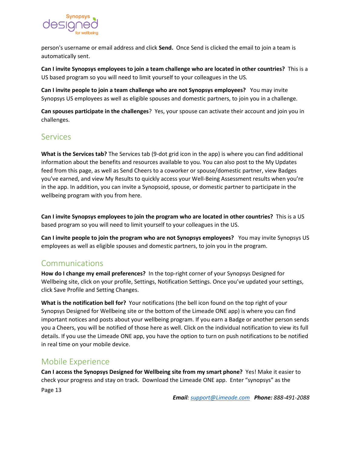

person's username or email address and click **Send.** Once Send is clicked the email to join a team is automatically sent.

**Can I invite Synopsys employees to join a team challenge who are located in other countries?** This is a US based program so you will need to limit yourself to your colleagues in the US.

**Can I invite people to join a team challenge who are not Synopsys employees?** You may invite Synopsys US employees as well as eligible spouses and domestic partners, to join you in a challenge.

**Can spouses participate in the challenges**? Yes, your spouse can activate their account and join you in challenges.

# <span id="page-12-0"></span>Services

**What is the Services tab?** The Services tab (9-dot grid icon in the app) is where you can find additional information about the benefits and resources available to you. You can also post to the My Updates feed from this page, as well as Send Cheers to a coworker or spouse/domestic partner, view Badges you've earned, and view My Results to quickly access your Well-Being Assessment results when you're in the app. In addition, you can invite a Synopsoid, spouse, or domestic partner to participate in the wellbeing program with you from here.

**Can I invite Synopsys employees to join the program who are located in other countries?** This is a US based program so you will need to limit yourself to your colleagues in the US.

**Can I invite people to join the program who are not Synopsys employees?** You may invite Synopsys US employees as well as eligible spouses and domestic partners, to join you in the program.

# Communications

**How do I change my email preferences?** In the top-right corner of your Synopsys Designed for Wellbeing site, click on your profile, Settings, Notification Settings. Once you've updated your settings, click Save Profile and Setting Changes.

**What is the notification bell for?** Your notifications (the bell icon found on the top right of your Synopsys Designed for Wellbeing site or the bottom of the Limeade ONE app) is where you can find important notices and posts about your wellbeing program. If you earn a Badge or another person sends you a Cheers, you will be notified of those here as well. Click on the individual notification to view its full details. If you use the Limeade ONE app, you have the option to turn on push notifications to be notified in real time on your mobile device.

# <span id="page-12-1"></span>Mobile Experience

Page 13 **Can I access the Synopsys Designed for Wellbeing site from my smart phone?** Yes! Make it easier to check your progress and stay on track. Download the Limeade ONE app. Enter "synopsys" as the

*Email[: support@Limeade.com](mailto:support@Limeade.com) Phone: 888-491-2088*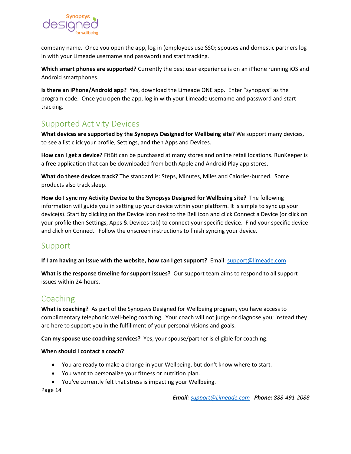

company name. Once you open the app, log in (employees use SSO; spouses and domestic partners log in with your Limeade username and password) and start tracking.

**Which smart phones are supported?** Currently the best user experience is on an iPhone running iOS and Android smartphones.

**Is there an iPhone/Android app?** Yes, download the Limeade ONE app. Enter "synopsys" as the program code. Once you open the app, log in with your Limeade username and password and start tracking.

# <span id="page-13-0"></span>Supported Activity Devices

**What devices are supported by the Synopsys Designed for Wellbeing site?** We support many devices, to see a list click your profile, Settings, and then Apps and Devices.

**How can I get a device?** FitBit can be purchased at many stores and online retail locations. RunKeeper is a free application that can be downloaded from both Apple and Android Play app stores.

**What do these devices track?** The standard is: Steps, Minutes, Miles and Calories-burned. Some products also track sleep.

**How do I sync my Activity Device to the Synopsys Designed for Wellbeing site?** The following information will guide you in setting up your device within your platform. It is simple to sync up your device(s). Start by clicking on the Device icon next to the Bell icon and click Connect a Device (or click on your profile then Settings, Apps & Devices tab) to connect your specific device. Find your specific device and click on Connect. Follow the onscreen instructions to finish syncing your device.

# Support

**If I am having an issue with the website, how can I get support?** Email[: support@limeade.com](mailto:support@limeade.com)

**What is the response timeline for support issues?** Our support team aims to respond to all support issues within 24-hours.

# <span id="page-13-1"></span>Coaching

**What is coaching?** As part of the Synopsys Designed for Wellbeing program, you have access to complimentary telephonic well-being coaching. Your coach will not judge or diagnose you; instead they are here to support you in the fulfillment of your personal visions and goals.

**Can my spouse use coaching services?** Yes, your spouse/partner is eligible for coaching.

#### **When should I contact a coach?**

- You are ready to make a change in your Wellbeing, but don't know where to start.
- You want to personalize your fitness or nutrition plan.
- You've currently felt that stress is impacting your Wellbeing.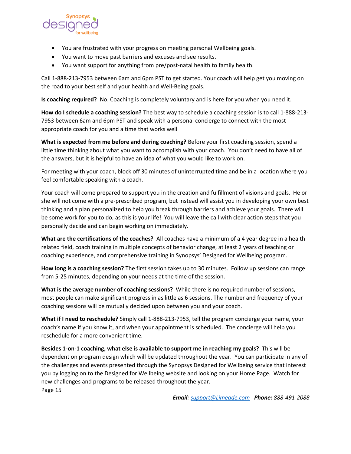

- You are frustrated with your progress on meeting personal Wellbeing goals.
- You want to move past barriers and excuses and see results.
- You want support for anything from pre/post-natal health to family health.

Call 1-888-213-7953 between 6am and 6pm PST to get started. Your coach will help get you moving on the road to your best self and your health and Well-Being goals.

**Is coaching required?** No. Coaching is completely voluntary and is here for you when you need it.

**How do I schedule a coaching session?** The best way to schedule a coaching session is to call 1-888-213- 7953 between 6am and 6pm PST and speak with a personal concierge to connect with the most appropriate coach for you and a time that works well

**What is expected from me before and during coaching?** Before your first coaching session, spend a little time thinking about what you want to accomplish with your coach. You don't need to have all of the answers, but it is helpful to have an idea of what you would like to work on.

For meeting with your coach, block off 30 minutes of uninterrupted time and be in a location where you feel comfortable speaking with a coach.

Your coach will come prepared to support you in the creation and fulfillment of visions and goals. He or she will not come with a pre-prescribed program, but instead will assist you in developing your own best thinking and a plan personalized to help you break through barriers and achieve your goals. There will be some work for you to do, as this is your life! You will leave the call with clear action steps that you personally decide and can begin working on immediately.

**What are the certifications of the coaches?** All coaches have a minimum of a 4 year degree in a health related field, coach training in multiple concepts of behavior change, at least 2 years of teaching or coaching experience, and comprehensive training in Synopsys' Designed for Wellbeing program.

**How long is a coaching session?** The first session takes up to 30 minutes. Follow up sessions can range from 5-25 minutes, depending on your needs at the time of the session.

**What is the average number of coaching sessions?** While there is no required number of sessions, most people can make significant progress in as little as 6 sessions. The number and frequency of your coaching sessions will be mutually decided upon between you and your coach.

**What if I need to reschedule?** Simply call 1-888-213-7953, tell the program concierge your name, your coach's name if you know it, and when your appointment is scheduled. The concierge will help you reschedule for a more convenient time.

Page 15 **Besides 1-on-1 coaching, what else is available to support me in reaching my goals?** This will be dependent on program design which will be updated throughout the year. You can participate in any of the challenges and events presented through the Synopsys Designed for Wellbeing service that interest you by logging on to the Designed for Wellbeing website and looking on your Home Page. Watch for new challenges and programs to be released throughout the year.